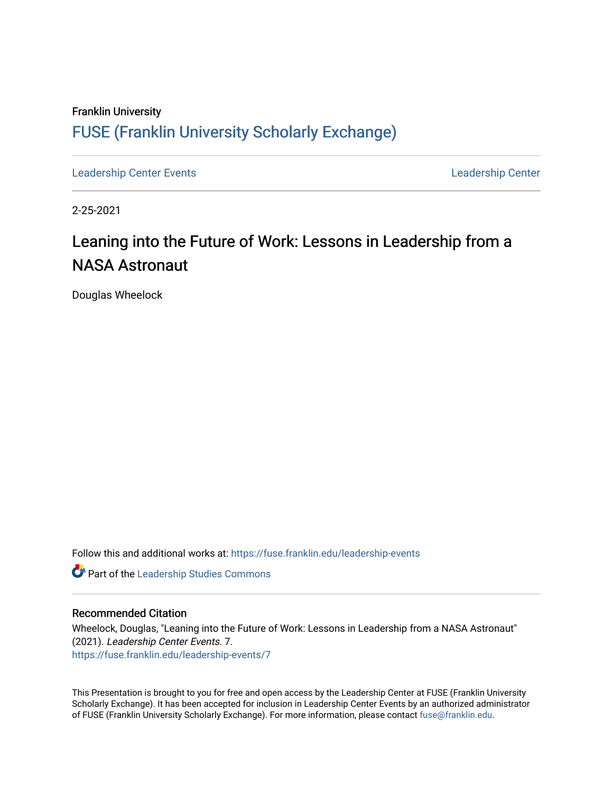### Franklin University [FUSE \(Franklin University Scholarly Exchange\)](https://fuse.franklin.edu/)

[Leadership Center Events](https://fuse.franklin.edu/leadership-events) [Leadership Center](https://fuse.franklin.edu/leadership-center) 

2-25-2021

## Leaning into the Future of Work: Lessons in Leadership from a NASA Astronaut

Douglas Wheelock

Follow this and additional works at: [https://fuse.franklin.edu/leadership-events](https://fuse.franklin.edu/leadership-events?utm_source=fuse.franklin.edu%2Fleadership-events%2F7&utm_medium=PDF&utm_campaign=PDFCoverPages) 

**Part of the Leadership Studies Commons** 

#### Recommended Citation

Wheelock, Douglas, "Leaning into the Future of Work: Lessons in Leadership from a NASA Astronaut" (2021). Leadership Center Events. 7. [https://fuse.franklin.edu/leadership-events/7](https://fuse.franklin.edu/leadership-events/7?utm_source=fuse.franklin.edu%2Fleadership-events%2F7&utm_medium=PDF&utm_campaign=PDFCoverPages) 

This Presentation is brought to you for free and open access by the Leadership Center at FUSE (Franklin University Scholarly Exchange). It has been accepted for inclusion in Leadership Center Events by an authorized administrator of FUSE (Franklin University Scholarly Exchange). For more information, please contact [fuse@franklin.edu.](mailto:fuse@franklin.edu)